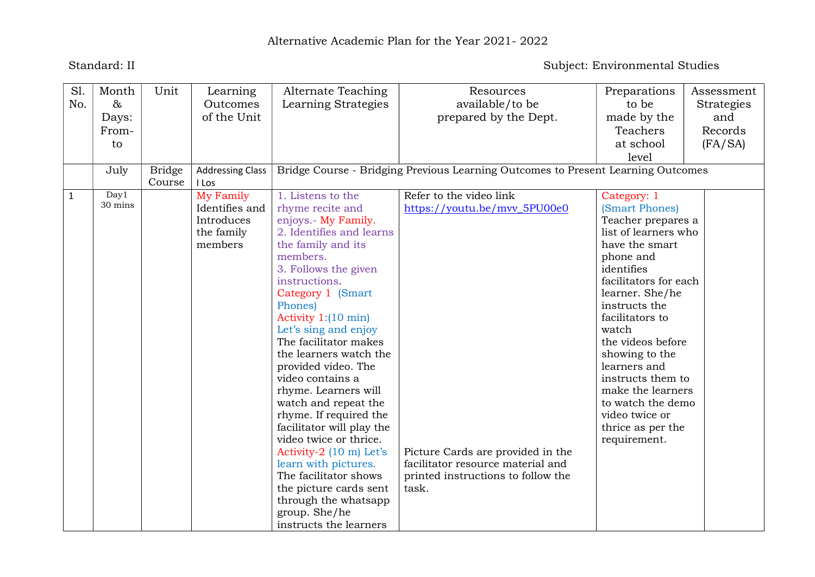## Standard: II Subject: Environmental Studies

| S1.          | Month   | Unit          | Learning                | Alternate Teaching            | Resources                                                                        | Preparations          | Assessment |
|--------------|---------|---------------|-------------------------|-------------------------------|----------------------------------------------------------------------------------|-----------------------|------------|
| No.          | $\&$    |               | Outcomes                | Learning Strategies           | available/to be                                                                  | to be                 | Strategies |
|              | Days:   |               | of the Unit             |                               | prepared by the Dept.                                                            | made by the           | and        |
|              | From-   |               |                         |                               |                                                                                  | Teachers              | Records    |
|              | to      |               |                         |                               |                                                                                  | at school             | (FA/SA)    |
|              |         |               |                         |                               |                                                                                  | level                 |            |
|              | July    | <b>Bridge</b> | <b>Addressing Class</b> |                               | Bridge Course - Bridging Previous Learning Outcomes to Present Learning Outcomes |                       |            |
|              |         | Course        | I Los                   |                               |                                                                                  |                       |            |
| $\mathbf{1}$ | Day1    |               | My Family               | 1. Listens to the             | Refer to the video link                                                          | Category: 1           |            |
|              | 30 mins |               | Identifies and          | rhyme recite and              | https://youtu.be/mvv_5PU00e0                                                     | (Smart Phones)        |            |
|              |         |               | Introduces              | enjoys.- My Family.           |                                                                                  | Teacher prepares a    |            |
|              |         |               | the family              | 2. Identifies and learns      |                                                                                  | list of learners who  |            |
|              |         |               | members                 | the family and its            |                                                                                  | have the smart        |            |
|              |         |               |                         | members.                      |                                                                                  | phone and             |            |
|              |         |               |                         | 3. Follows the given          |                                                                                  | identifies            |            |
|              |         |               |                         | instructions.                 |                                                                                  | facilitators for each |            |
|              |         |               |                         | Category 1 (Smart             |                                                                                  | learner. She/he       |            |
|              |         |               |                         | Phones)                       |                                                                                  | instructs the         |            |
|              |         |               |                         | Activity $1:(10 \text{ min})$ |                                                                                  | facilitators to       |            |
|              |         |               |                         | Let's sing and enjoy          |                                                                                  | watch                 |            |
|              |         |               |                         | The facilitator makes         |                                                                                  | the videos before     |            |
|              |         |               |                         | the learners watch the        |                                                                                  | showing to the        |            |
|              |         |               |                         | provided video. The           |                                                                                  | learners and          |            |
|              |         |               |                         | video contains a              |                                                                                  | instructs them to     |            |
|              |         |               |                         | rhyme. Learners will          |                                                                                  | make the learners     |            |
|              |         |               |                         | watch and repeat the          |                                                                                  | to watch the demo     |            |
|              |         |               |                         | rhyme. If required the        |                                                                                  | video twice or        |            |
|              |         |               |                         | facilitator will play the     |                                                                                  | thrice as per the     |            |
|              |         |               |                         | video twice or thrice.        |                                                                                  | requirement.          |            |
|              |         |               |                         | Activity-2 (10 m) Let's       | Picture Cards are provided in the                                                |                       |            |
|              |         |               |                         | learn with pictures.          | facilitator resource material and                                                |                       |            |
|              |         |               |                         | The facilitator shows         | printed instructions to follow the                                               |                       |            |
|              |         |               |                         | the picture cards sent        | task.                                                                            |                       |            |
|              |         |               |                         | through the whatsapp          |                                                                                  |                       |            |
|              |         |               |                         | group. She/he                 |                                                                                  |                       |            |
|              |         |               |                         | instructs the learners        |                                                                                  |                       |            |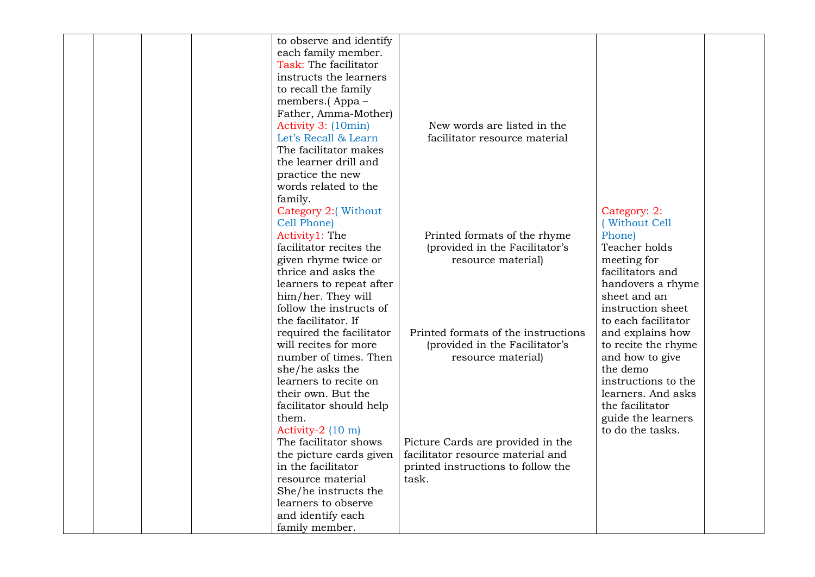|  |  | to observe and identify  |                                     |                     |  |
|--|--|--------------------------|-------------------------------------|---------------------|--|
|  |  | each family member.      |                                     |                     |  |
|  |  | Task: The facilitator    |                                     |                     |  |
|  |  | instructs the learners   |                                     |                     |  |
|  |  | to recall the family     |                                     |                     |  |
|  |  | members.(Appa-           |                                     |                     |  |
|  |  | Father, Amma-Mother)     |                                     |                     |  |
|  |  | Activity 3: (10min)      | New words are listed in the         |                     |  |
|  |  | Let's Recall & Learn     | facilitator resource material       |                     |  |
|  |  | The facilitator makes    |                                     |                     |  |
|  |  | the learner drill and    |                                     |                     |  |
|  |  | practice the new         |                                     |                     |  |
|  |  | words related to the     |                                     |                     |  |
|  |  | family.                  |                                     |                     |  |
|  |  | Category 2:(Without      |                                     | Category: 2:        |  |
|  |  | Cell Phone)              |                                     | (Without Cell       |  |
|  |  | Activity1: The           | Printed formats of the rhyme        | Phone)              |  |
|  |  | facilitator recites the  | (provided in the Facilitator's      | Teacher holds       |  |
|  |  | given rhyme twice or     | resource material)                  | meeting for         |  |
|  |  | thrice and asks the      |                                     | facilitators and    |  |
|  |  | learners to repeat after |                                     | handovers a rhyme   |  |
|  |  | him/her. They will       |                                     | sheet and an        |  |
|  |  | follow the instructs of  |                                     | instruction sheet   |  |
|  |  | the facilitator. If      |                                     | to each facilitator |  |
|  |  | required the facilitator | Printed formats of the instructions | and explains how    |  |
|  |  | will recites for more    | (provided in the Facilitator's      | to recite the rhyme |  |
|  |  | number of times. Then    | resource material)                  | and how to give     |  |
|  |  | she/he asks the          |                                     | the demo            |  |
|  |  | learners to recite on    |                                     | instructions to the |  |
|  |  | their own. But the       |                                     | learners. And asks  |  |
|  |  | facilitator should help  |                                     | the facilitator     |  |
|  |  | them.                    |                                     | guide the learners  |  |
|  |  | Activity-2 (10 m)        |                                     | to do the tasks.    |  |
|  |  | The facilitator shows    | Picture Cards are provided in the   |                     |  |
|  |  | the picture cards given  | facilitator resource material and   |                     |  |
|  |  | in the facilitator       | printed instructions to follow the  |                     |  |
|  |  | resource material        | task.                               |                     |  |
|  |  | She/he instructs the     |                                     |                     |  |
|  |  | learners to observe      |                                     |                     |  |
|  |  | and identify each        |                                     |                     |  |
|  |  | family member.           |                                     |                     |  |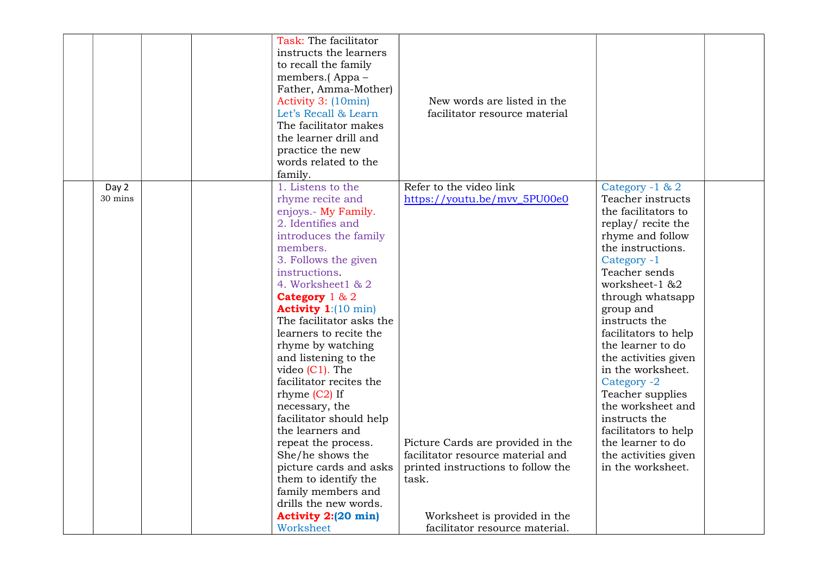|         |  | Task: The facilitator         |                                    |                      |  |
|---------|--|-------------------------------|------------------------------------|----------------------|--|
|         |  | instructs the learners        |                                    |                      |  |
|         |  | to recall the family          |                                    |                      |  |
|         |  | members.(Appa-                |                                    |                      |  |
|         |  | Father, Amma-Mother)          |                                    |                      |  |
|         |  | Activity 3: (10min)           | New words are listed in the        |                      |  |
|         |  | Let's Recall & Learn          | facilitator resource material      |                      |  |
|         |  | The facilitator makes         |                                    |                      |  |
|         |  | the learner drill and         |                                    |                      |  |
|         |  | practice the new              |                                    |                      |  |
|         |  | words related to the          |                                    |                      |  |
|         |  | family.                       |                                    |                      |  |
| Day 2   |  | 1. Listens to the             | Refer to the video link            | Category -1 & 2      |  |
| 30 mins |  | rhyme recite and              | https://youtu.be/mvv_5PU00e0       | Teacher instructs    |  |
|         |  | enjoys.- My Family.           |                                    | the facilitators to  |  |
|         |  | 2. Identifies and             |                                    | replay/recite the    |  |
|         |  | introduces the family         |                                    | rhyme and follow     |  |
|         |  | members.                      |                                    | the instructions.    |  |
|         |  | 3. Follows the given          |                                    | Category -1          |  |
|         |  | instructions.                 |                                    | Teacher sends        |  |
|         |  | 4. Worksheet1 & 2             |                                    | worksheet-1 &2       |  |
|         |  | Category $1 & 2$              |                                    | through whatsapp     |  |
|         |  | Activity $1:[10 \text{ min}]$ |                                    | group and            |  |
|         |  | The facilitator asks the      |                                    | instructs the        |  |
|         |  | learners to recite the        |                                    | facilitators to help |  |
|         |  | rhyme by watching             |                                    | the learner to do    |  |
|         |  | and listening to the          |                                    | the activities given |  |
|         |  | video $(C1)$ . The            |                                    | in the worksheet.    |  |
|         |  | facilitator recites the       |                                    | Category -2          |  |
|         |  | rhyme $(C2)$ If               |                                    | Teacher supplies     |  |
|         |  | necessary, the                |                                    | the worksheet and    |  |
|         |  | facilitator should help       |                                    | instructs the        |  |
|         |  | the learners and              |                                    | facilitators to help |  |
|         |  | repeat the process.           | Picture Cards are provided in the  | the learner to do    |  |
|         |  | She/he shows the              | facilitator resource material and  | the activities given |  |
|         |  | picture cards and asks        | printed instructions to follow the | in the worksheet.    |  |
|         |  | them to identify the          | task.                              |                      |  |
|         |  | family members and            |                                    |                      |  |
|         |  | drills the new words.         |                                    |                      |  |
|         |  | Activity 2:(20 min)           | Worksheet is provided in the       |                      |  |
|         |  | Worksheet                     | facilitator resource material.     |                      |  |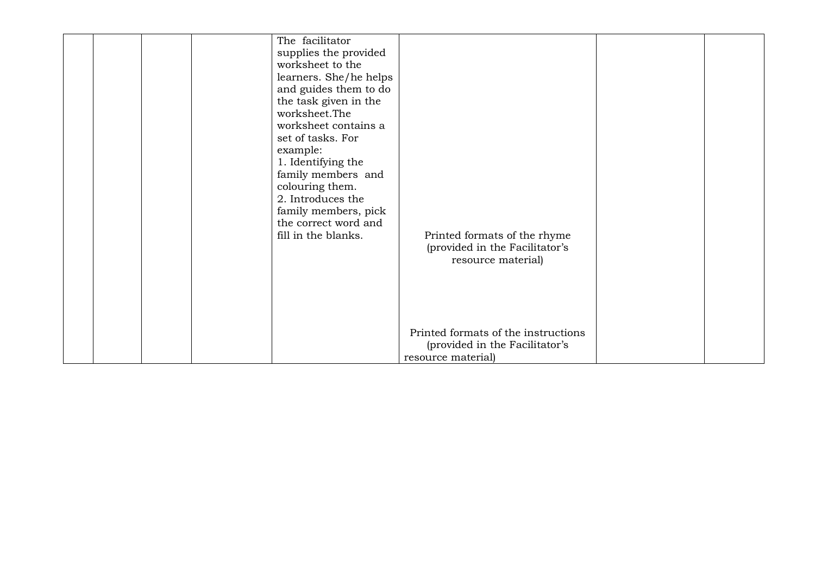| The facilitator<br>supplies the provided<br>worksheet to the<br>learners. She/he helps<br>and guides them to do<br>the task given in the<br>worksheet.The<br>worksheet contains a<br>set of tasks. For<br>example:<br>1. Identifying the<br>family members and<br>colouring them.<br>2. Introduces the<br>family members, pick<br>the correct word and<br>fill in the blanks. | Printed formats of the rhyme<br>(provided in the Facilitator's<br>resource material)        |  |
|-------------------------------------------------------------------------------------------------------------------------------------------------------------------------------------------------------------------------------------------------------------------------------------------------------------------------------------------------------------------------------|---------------------------------------------------------------------------------------------|--|
|                                                                                                                                                                                                                                                                                                                                                                               | Printed formats of the instructions<br>(provided in the Facilitator's<br>resource material) |  |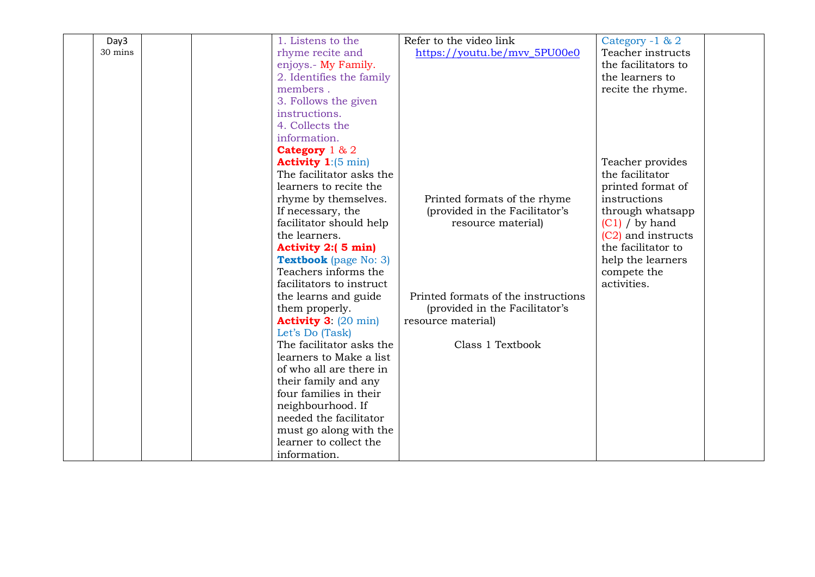| Day3    | 1. Listens to the                    | Refer to the video link             | Category -1 & 2     |
|---------|--------------------------------------|-------------------------------------|---------------------|
| 30 mins | rhyme recite and                     | https://youtu.be/mvv_5PU00e0        | Teacher instructs   |
|         | enjoys.- My Family.                  |                                     | the facilitators to |
|         | 2. Identifies the family             |                                     | the learners to     |
|         | members.                             |                                     | recite the rhyme.   |
|         | 3. Follows the given                 |                                     |                     |
|         | instructions.                        |                                     |                     |
|         | 4. Collects the                      |                                     |                     |
|         | information.                         |                                     |                     |
|         | Category $1 & 2$                     |                                     |                     |
|         | <b>Activity 1:</b> $(5 \text{ min})$ |                                     | Teacher provides    |
|         | The facilitator asks the             |                                     | the facilitator     |
|         | learners to recite the               |                                     | printed format of   |
|         | rhyme by themselves.                 | Printed formats of the rhyme        | instructions        |
|         | If necessary, the                    | (provided in the Facilitator's      | through whatsapp    |
|         | facilitator should help              | resource material)                  | $(C1)$ / by hand    |
|         | the learners.                        |                                     | (C2) and instructs  |
|         | Activity 2:(5 min)                   |                                     | the facilitator to  |
|         | <b>Textbook</b> (page No: 3)         |                                     | help the learners   |
|         | Teachers informs the                 |                                     | compete the         |
|         | facilitators to instruct             |                                     | activities.         |
|         | the learns and guide                 | Printed formats of the instructions |                     |
|         | them properly.                       | (provided in the Facilitator's      |                     |
|         | <b>Activity 3: (20 min)</b>          | resource material)                  |                     |
|         | Let's Do (Task)                      |                                     |                     |
|         | The facilitator asks the             | Class 1 Textbook                    |                     |
|         | learners to Make a list              |                                     |                     |
|         | of who all are there in              |                                     |                     |
|         | their family and any                 |                                     |                     |
|         | four families in their               |                                     |                     |
|         | neighbourhood. If                    |                                     |                     |
|         | needed the facilitator               |                                     |                     |
|         | must go along with the               |                                     |                     |
|         | learner to collect the               |                                     |                     |
|         | information.                         |                                     |                     |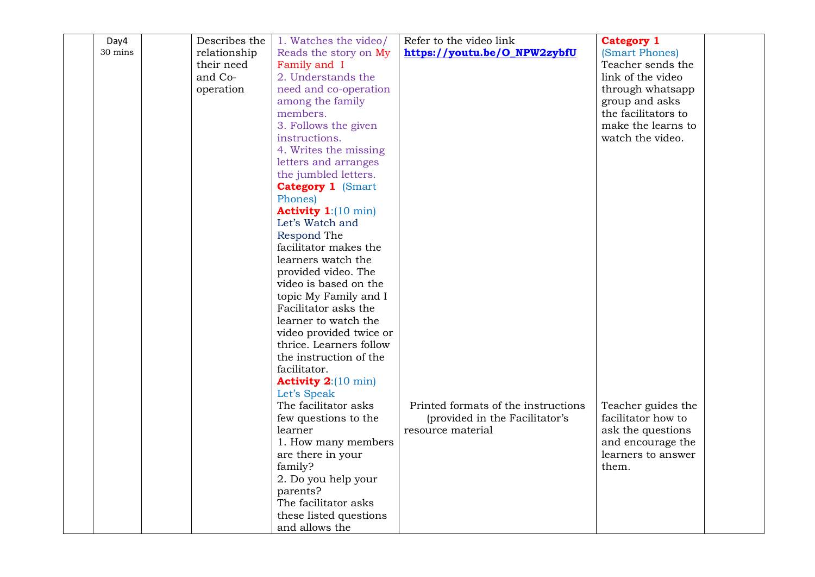| Day4    | Describes the | 1. Watches the video/         | Refer to the video link             | <b>Category 1</b>   |  |
|---------|---------------|-------------------------------|-------------------------------------|---------------------|--|
| 30 mins | relationship  | Reads the story on My         | https://youtu.be/O_NPW2zybfU        | (Smart Phones)      |  |
|         | their need    | Family and I                  |                                     | Teacher sends the   |  |
|         | and Co-       | 2. Understands the            |                                     | link of the video   |  |
|         | operation     | need and co-operation         |                                     | through whatsapp    |  |
|         |               | among the family              |                                     | group and asks      |  |
|         |               | members.                      |                                     | the facilitators to |  |
|         |               | 3. Follows the given          |                                     | make the learns to  |  |
|         |               | instructions.                 |                                     | watch the video.    |  |
|         |               | 4. Writes the missing         |                                     |                     |  |
|         |               | letters and arranges          |                                     |                     |  |
|         |               | the jumbled letters.          |                                     |                     |  |
|         |               | <b>Category 1 (Smart</b>      |                                     |                     |  |
|         |               | Phones)                       |                                     |                     |  |
|         |               | Activity $1:(10 \text{ min})$ |                                     |                     |  |
|         |               | Let's Watch and               |                                     |                     |  |
|         |               | Respond The                   |                                     |                     |  |
|         |               | facilitator makes the         |                                     |                     |  |
|         |               | learners watch the            |                                     |                     |  |
|         |               | provided video. The           |                                     |                     |  |
|         |               | video is based on the         |                                     |                     |  |
|         |               | topic My Family and I         |                                     |                     |  |
|         |               | Facilitator asks the          |                                     |                     |  |
|         |               | learner to watch the          |                                     |                     |  |
|         |               | video provided twice or       |                                     |                     |  |
|         |               | thrice. Learners follow       |                                     |                     |  |
|         |               | the instruction of the        |                                     |                     |  |
|         |               | facilitator.                  |                                     |                     |  |
|         |               | <b>Activity 2:</b> (10 min)   |                                     |                     |  |
|         |               | Let's Speak                   |                                     |                     |  |
|         |               | The facilitator asks          | Printed formats of the instructions | Teacher guides the  |  |
|         |               | few questions to the          | (provided in the Facilitator's      | facilitator how to  |  |
|         |               | learner                       | resource material                   | ask the questions   |  |
|         |               | 1. How many members           |                                     | and encourage the   |  |
|         |               | are there in your             |                                     | learners to answer  |  |
|         |               | family?                       |                                     | them.               |  |
|         |               | 2. Do you help your           |                                     |                     |  |
|         |               | parents?                      |                                     |                     |  |
|         |               | The facilitator asks          |                                     |                     |  |
|         |               | these listed questions        |                                     |                     |  |
|         |               | and allows the                |                                     |                     |  |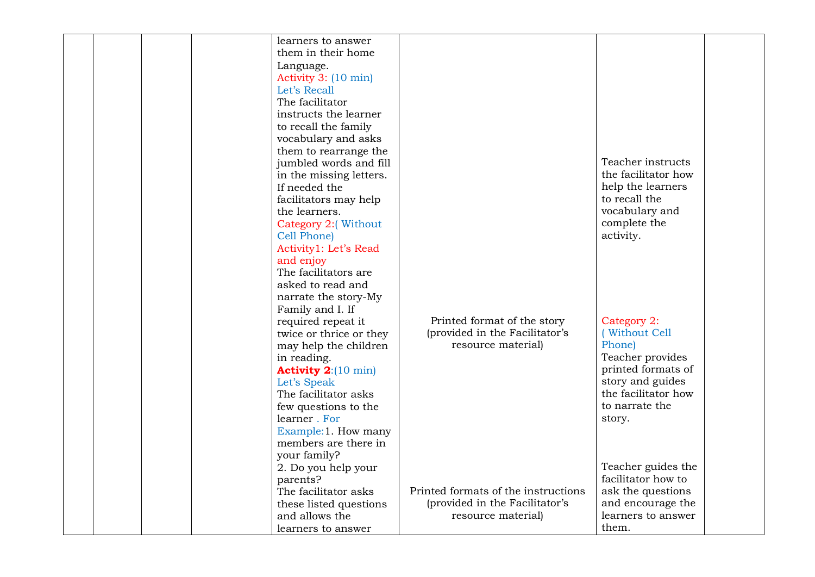|  | learners to answer          |                                     |                     |  |
|--|-----------------------------|-------------------------------------|---------------------|--|
|  | them in their home          |                                     |                     |  |
|  | Language.                   |                                     |                     |  |
|  | Activity 3: (10 min)        |                                     |                     |  |
|  | Let's Recall                |                                     |                     |  |
|  |                             |                                     |                     |  |
|  | The facilitator             |                                     |                     |  |
|  | instructs the learner       |                                     |                     |  |
|  | to recall the family        |                                     |                     |  |
|  | vocabulary and asks         |                                     |                     |  |
|  | them to rearrange the       |                                     |                     |  |
|  | jumbled words and fill      |                                     | Teacher instructs   |  |
|  | in the missing letters.     |                                     | the facilitator how |  |
|  | If needed the               |                                     | help the learners   |  |
|  | facilitators may help       |                                     | to recall the       |  |
|  | the learners.               |                                     | vocabulary and      |  |
|  | Category 2:(Without         |                                     | complete the        |  |
|  | Cell Phone)                 |                                     | activity.           |  |
|  | Activity1: Let's Read       |                                     |                     |  |
|  | and enjoy                   |                                     |                     |  |
|  | The facilitators are        |                                     |                     |  |
|  | asked to read and           |                                     |                     |  |
|  | narrate the story-My        |                                     |                     |  |
|  | Family and I. If            |                                     |                     |  |
|  | required repeat it          | Printed format of the story         | Category 2:         |  |
|  | twice or thrice or they     | (provided in the Facilitator's      | (Without Cell       |  |
|  |                             | resource material)                  | Phone)              |  |
|  | may help the children       |                                     | Teacher provides    |  |
|  | in reading.                 |                                     | printed formats of  |  |
|  | <b>Activity 2:</b> (10 min) |                                     |                     |  |
|  | Let's Speak                 |                                     | story and guides    |  |
|  | The facilitator asks        |                                     | the facilitator how |  |
|  | few questions to the        |                                     | to narrate the      |  |
|  | learner. For                |                                     | story.              |  |
|  | Example: 1. How many        |                                     |                     |  |
|  | members are there in        |                                     |                     |  |
|  | your family?                |                                     |                     |  |
|  | 2. Do you help your         |                                     | Teacher guides the  |  |
|  | parents?                    |                                     | facilitator how to  |  |
|  | The facilitator asks        | Printed formats of the instructions | ask the questions   |  |
|  | these listed questions      | (provided in the Facilitator's      | and encourage the   |  |
|  | and allows the              | resource material)                  | learners to answer  |  |
|  | learners to answer          |                                     | them.               |  |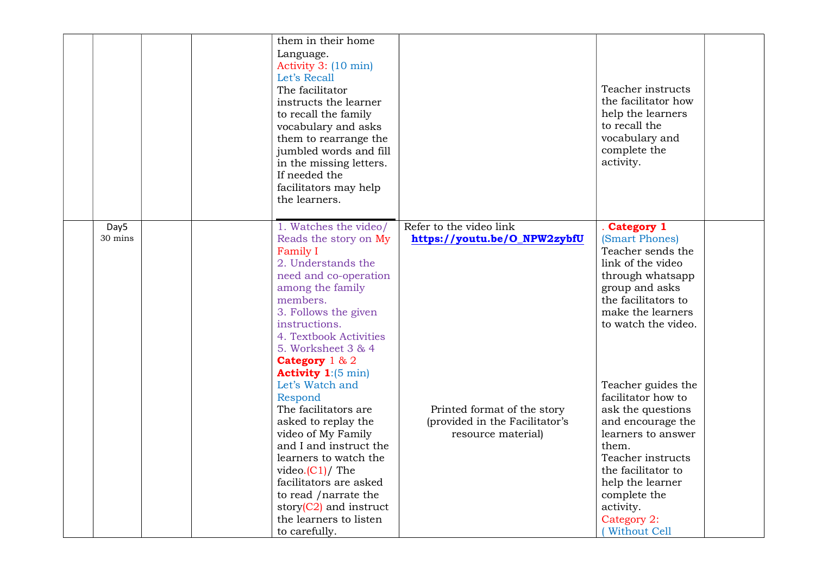|                 | them in their home<br>Language.<br>Activity 3: (10 min)<br>Let's Recall<br>The facilitator<br>instructs the learner<br>to recall the family<br>vocabulary and asks<br>them to rearrange the<br>jumbled words and fill<br>in the missing letters.<br>If needed the<br>facilitators may help<br>the learners. |                                                                                     | Teacher instructs<br>the facilitator how<br>help the learners<br>to recall the<br>vocabulary and<br>complete the<br>activity.                                                                                                                 |
|-----------------|-------------------------------------------------------------------------------------------------------------------------------------------------------------------------------------------------------------------------------------------------------------------------------------------------------------|-------------------------------------------------------------------------------------|-----------------------------------------------------------------------------------------------------------------------------------------------------------------------------------------------------------------------------------------------|
| Day5<br>30 mins | 1. Watches the video/<br>Reads the story on My<br><b>Family I</b><br>2. Understands the<br>need and co-operation<br>among the family<br>members.<br>3. Follows the given<br>instructions.<br>4. Textbook Activities<br>5. Worksheet 3 & 4<br>Category 1 & 2<br><b>Activity 1:</b> $(5 \text{ min})$         | Refer to the video link<br>https://youtu.be/O_NPW2zybfU                             | . Category 1<br>(Smart Phones)<br>Teacher sends the<br>link of the video<br>through whatsapp<br>group and asks<br>the facilitators to<br>make the learners<br>to watch the video.                                                             |
|                 | Let's Watch and<br>Respond<br>The facilitators are<br>asked to replay the<br>video of My Family<br>and I and instruct the<br>learners to watch the<br>video. $(C1)/$ The<br>facilitators are asked<br>to read /narrate the<br>story $(C2)$ and instruct<br>the learners to listen<br>to carefully.          | Printed format of the story<br>(provided in the Facilitator's<br>resource material) | Teacher guides the<br>facilitator how to<br>ask the questions<br>and encourage the<br>learners to answer<br>them.<br>Teacher instructs<br>the facilitator to<br>help the learner<br>complete the<br>activity.<br>Category 2:<br>(Without Cell |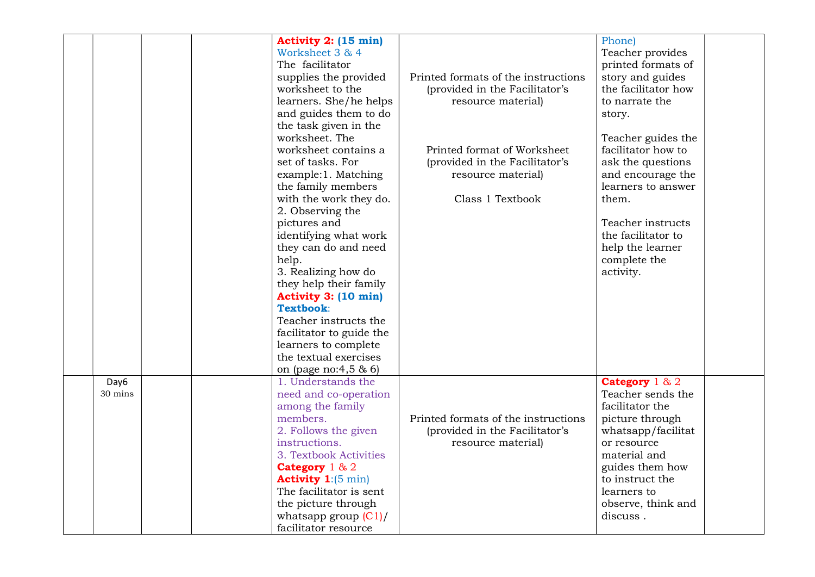|         | Activity 2: (15 min)                 |                                     | Phone)              |  |
|---------|--------------------------------------|-------------------------------------|---------------------|--|
|         | Worksheet 3 & 4                      |                                     | Teacher provides    |  |
|         | The facilitator                      |                                     | printed formats of  |  |
|         | supplies the provided                | Printed formats of the instructions | story and guides    |  |
|         | worksheet to the                     | (provided in the Facilitator's      | the facilitator how |  |
|         | learners. She/he helps               | resource material)                  | to narrate the      |  |
|         | and guides them to do                |                                     | story.              |  |
|         | the task given in the                |                                     |                     |  |
|         | worksheet. The                       |                                     | Teacher guides the  |  |
|         | worksheet contains a                 | Printed format of Worksheet         | facilitator how to  |  |
|         | set of tasks. For                    | (provided in the Facilitator's      | ask the questions   |  |
|         | example:1. Matching                  | resource material)                  | and encourage the   |  |
|         | the family members                   |                                     | learners to answer  |  |
|         | with the work they do.               | Class 1 Textbook                    | them.               |  |
|         | 2. Observing the                     |                                     |                     |  |
|         | pictures and                         |                                     | Teacher instructs   |  |
|         | identifying what work                |                                     | the facilitator to  |  |
|         | they can do and need                 |                                     | help the learner    |  |
|         | help.                                |                                     | complete the        |  |
|         | 3. Realizing how do                  |                                     | activity.           |  |
|         | they help their family               |                                     |                     |  |
|         | Activity 3: (10 min)                 |                                     |                     |  |
|         | Textbook:                            |                                     |                     |  |
|         | Teacher instructs the                |                                     |                     |  |
|         | facilitator to guide the             |                                     |                     |  |
|         | learners to complete                 |                                     |                     |  |
|         | the textual exercises                |                                     |                     |  |
|         | on (page no:4,5 & 6)                 |                                     |                     |  |
| Day6    | 1. Understands the                   |                                     | Category $1 & 2$    |  |
| 30 mins | need and co-operation                |                                     | Teacher sends the   |  |
|         | among the family                     |                                     | facilitator the     |  |
|         | members.                             | Printed formats of the instructions |                     |  |
|         |                                      |                                     | picture through     |  |
|         | 2. Follows the given                 | (provided in the Facilitator's      | whatsapp/facilitat  |  |
|         | instructions.                        | resource material)                  | or resource         |  |
|         | 3. Textbook Activities               |                                     | material and        |  |
|         | Category 1 & 2                       |                                     | guides them how     |  |
|         | <b>Activity 1:</b> $(5 \text{ min})$ |                                     | to instruct the     |  |
|         | The facilitator is sent              |                                     | learners to         |  |
|         | the picture through                  |                                     | observe, think and  |  |
|         | whatsapp group $(C1)/$               |                                     | discuss.            |  |
|         | facilitator resource                 |                                     |                     |  |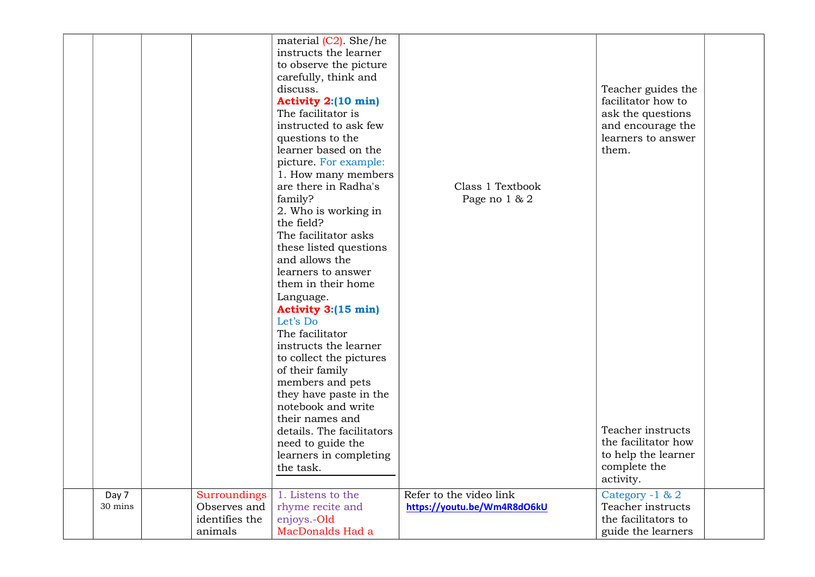|                  |                                                           | material $(C2)$ . She/he<br>instructs the learner<br>to observe the picture<br>carefully, think and<br>discuss.<br><b>Activity 2:(10 min)</b><br>The facilitator is<br>instructed to ask few<br>questions to the<br>learner based on the<br>picture. For example:<br>1. How many members<br>are there in Radha's<br>family?<br>2. Who is working in<br>the field?<br>The facilitator asks<br>these listed questions<br>and allows the<br>learners to answer<br>them in their home<br>Language.<br><b>Activity 3:(15 min)</b><br>Let's Do<br>The facilitator<br>instructs the learner<br>to collect the pictures<br>of their family<br>members and pets<br>they have paste in the<br>notebook and write<br>their names and<br>details. The facilitators<br>need to guide the<br>learners in completing<br>the task. | Class 1 Textbook<br>Page no 1 & 2                      | Teacher guides the<br>facilitator how to<br>ask the questions<br>and encourage the<br>learners to answer<br>them.<br>Teacher instructs<br>the facilitator how<br>to help the learner<br>complete the |  |
|------------------|-----------------------------------------------------------|--------------------------------------------------------------------------------------------------------------------------------------------------------------------------------------------------------------------------------------------------------------------------------------------------------------------------------------------------------------------------------------------------------------------------------------------------------------------------------------------------------------------------------------------------------------------------------------------------------------------------------------------------------------------------------------------------------------------------------------------------------------------------------------------------------------------|--------------------------------------------------------|------------------------------------------------------------------------------------------------------------------------------------------------------------------------------------------------------|--|
|                  |                                                           |                                                                                                                                                                                                                                                                                                                                                                                                                                                                                                                                                                                                                                                                                                                                                                                                                    |                                                        | activity.                                                                                                                                                                                            |  |
| Day 7<br>30 mins | Surroundings<br>Observes and<br>identifies the<br>animals | 1. Listens to the<br>rhyme recite and<br>enjoys.-Old<br>MacDonalds Had a                                                                                                                                                                                                                                                                                                                                                                                                                                                                                                                                                                                                                                                                                                                                           | Refer to the video link<br>https://youtu.be/Wm4R8dO6kU | Category -1 & 2<br>Teacher instructs<br>the facilitators to<br>guide the learners                                                                                                                    |  |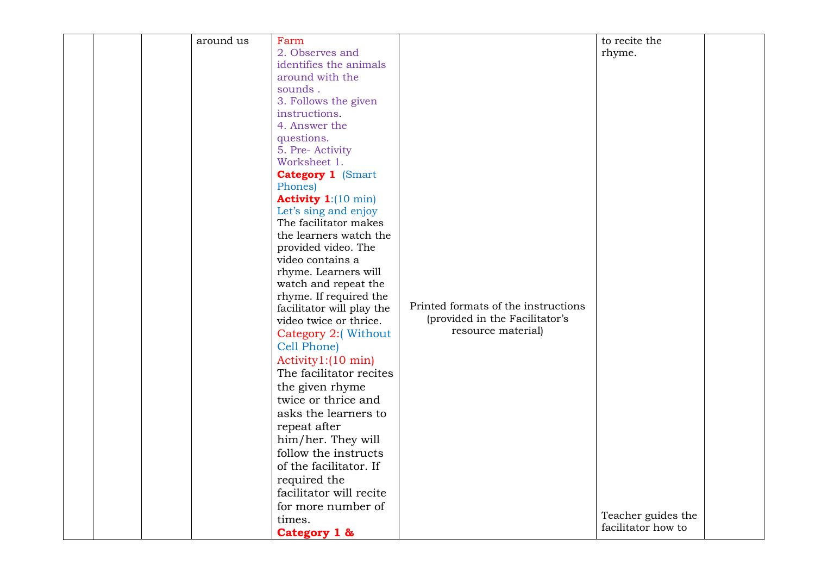|  | around us | Farm                                          |                                     | to recite the      |  |
|--|-----------|-----------------------------------------------|-------------------------------------|--------------------|--|
|  |           | 2. Observes and                               |                                     | rhyme.             |  |
|  |           | identifies the animals                        |                                     |                    |  |
|  |           | around with the                               |                                     |                    |  |
|  |           | sounds.                                       |                                     |                    |  |
|  |           | 3. Follows the given                          |                                     |                    |  |
|  |           | instructions.                                 |                                     |                    |  |
|  |           | 4. Answer the                                 |                                     |                    |  |
|  |           | questions.                                    |                                     |                    |  |
|  |           | 5. Pre- Activity                              |                                     |                    |  |
|  |           | Worksheet 1.                                  |                                     |                    |  |
|  |           | <b>Category 1 (Smart</b>                      |                                     |                    |  |
|  |           | Phones)                                       |                                     |                    |  |
|  |           | <b>Activity 1:</b> (10 min)                   |                                     |                    |  |
|  |           | Let's sing and enjoy<br>The facilitator makes |                                     |                    |  |
|  |           | the learners watch the                        |                                     |                    |  |
|  |           | provided video. The                           |                                     |                    |  |
|  |           | video contains a                              |                                     |                    |  |
|  |           | rhyme. Learners will                          |                                     |                    |  |
|  |           | watch and repeat the                          |                                     |                    |  |
|  |           | rhyme. If required the                        |                                     |                    |  |
|  |           | facilitator will play the                     | Printed formats of the instructions |                    |  |
|  |           | video twice or thrice.                        | (provided in the Facilitator's      |                    |  |
|  |           | Category 2:(Without                           | resource material)                  |                    |  |
|  |           | Cell Phone)                                   |                                     |                    |  |
|  |           | Activity1:(10 min)                            |                                     |                    |  |
|  |           | The facilitator recites                       |                                     |                    |  |
|  |           | the given rhyme                               |                                     |                    |  |
|  |           | twice or thrice and                           |                                     |                    |  |
|  |           | asks the learners to                          |                                     |                    |  |
|  |           | repeat after                                  |                                     |                    |  |
|  |           | him/her. They will                            |                                     |                    |  |
|  |           | follow the instructs                          |                                     |                    |  |
|  |           | of the facilitator. If                        |                                     |                    |  |
|  |           |                                               |                                     |                    |  |
|  |           | required the<br>facilitator will recite       |                                     |                    |  |
|  |           |                                               |                                     |                    |  |
|  |           | for more number of                            |                                     | Teacher guides the |  |
|  |           | times.                                        |                                     | facilitator how to |  |
|  |           | Category 1 &                                  |                                     |                    |  |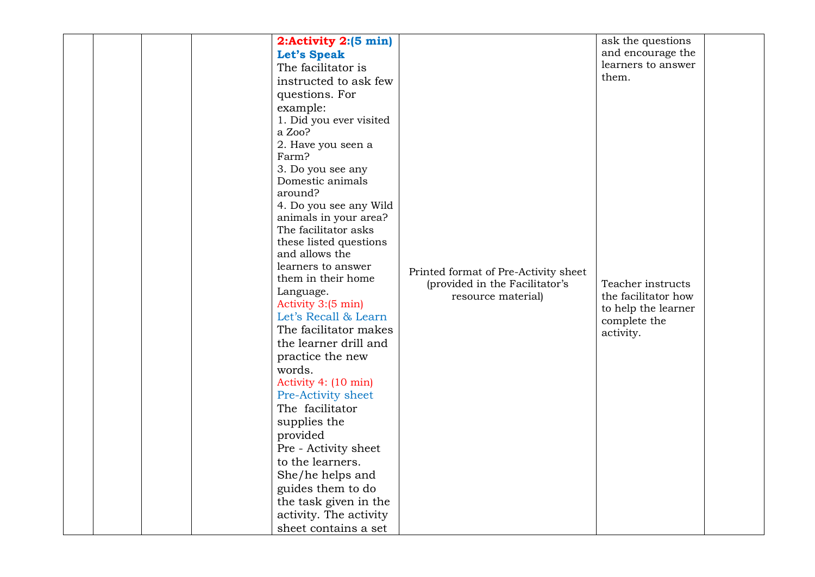|  |  | 2:Activity 2:(5 min)    |                                      | ask the questions   |  |
|--|--|-------------------------|--------------------------------------|---------------------|--|
|  |  |                         |                                      | and encourage the   |  |
|  |  | <b>Let's Speak</b>      |                                      | learners to answer  |  |
|  |  | The facilitator is      |                                      | them.               |  |
|  |  | instructed to ask few   |                                      |                     |  |
|  |  | questions. For          |                                      |                     |  |
|  |  | example:                |                                      |                     |  |
|  |  | 1. Did you ever visited |                                      |                     |  |
|  |  | a Zoo?                  |                                      |                     |  |
|  |  | 2. Have you seen a      |                                      |                     |  |
|  |  | Farm?                   |                                      |                     |  |
|  |  | 3. Do you see any       |                                      |                     |  |
|  |  | Domestic animals        |                                      |                     |  |
|  |  | around?                 |                                      |                     |  |
|  |  | 4. Do you see any Wild  |                                      |                     |  |
|  |  | animals in your area?   |                                      |                     |  |
|  |  | The facilitator asks    |                                      |                     |  |
|  |  | these listed questions  |                                      |                     |  |
|  |  | and allows the          |                                      |                     |  |
|  |  | learners to answer      | Printed format of Pre-Activity sheet |                     |  |
|  |  | them in their home      | (provided in the Facilitator's       | Teacher instructs   |  |
|  |  | Language.               | resource material)                   | the facilitator how |  |
|  |  | Activity 3:(5 min)      |                                      | to help the learner |  |
|  |  | Let's Recall & Learn    |                                      | complete the        |  |
|  |  | The facilitator makes   |                                      | activity.           |  |
|  |  | the learner drill and   |                                      |                     |  |
|  |  | practice the new        |                                      |                     |  |
|  |  | words.                  |                                      |                     |  |
|  |  | Activity 4: (10 min)    |                                      |                     |  |
|  |  | Pre-Activity sheet      |                                      |                     |  |
|  |  | The facilitator         |                                      |                     |  |
|  |  | supplies the            |                                      |                     |  |
|  |  | provided                |                                      |                     |  |
|  |  | Pre - Activity sheet    |                                      |                     |  |
|  |  | to the learners.        |                                      |                     |  |
|  |  | She/he helps and        |                                      |                     |  |
|  |  | guides them to do       |                                      |                     |  |
|  |  | the task given in the   |                                      |                     |  |
|  |  | activity. The activity  |                                      |                     |  |
|  |  | sheet contains a set    |                                      |                     |  |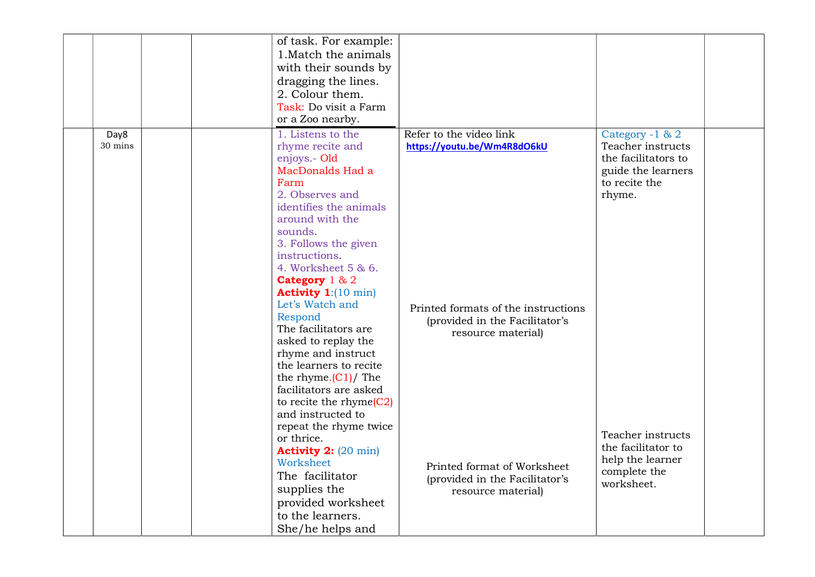|                 |  | of task. For example:<br>1. Match the animals<br>with their sounds by<br>dragging the lines.<br>2. Colour them.<br>Task: Do visit a Farm<br>or a Zoo nearby.                                                                                                                  |                                                                                             |                                                                                                              |  |
|-----------------|--|-------------------------------------------------------------------------------------------------------------------------------------------------------------------------------------------------------------------------------------------------------------------------------|---------------------------------------------------------------------------------------------|--------------------------------------------------------------------------------------------------------------|--|
| Day8<br>30 mins |  | 1. Listens to the<br>rhyme recite and<br>enjoys.- Old<br>MacDonalds Had a<br>Farm<br>2. Observes and<br>identifies the animals<br>around with the<br>sounds.<br>3. Follows the given<br>instructions.<br>4. Worksheet 5 & 6.<br>Category 1 & 2<br><b>Activity 1:</b> (10 min) | Refer to the video link<br>https://youtu.be/Wm4R8dO6kU                                      | Category -1 & 2<br>Teacher instructs<br>the facilitators to<br>guide the learners<br>to recite the<br>rhyme. |  |
|                 |  | Let's Watch and<br>Respond<br>The facilitators are<br>asked to replay the<br>rhyme and instruct<br>the learners to recite<br>the rhyme. $(C1)/$ The<br>facilitators are asked<br>to recite the rhyme $(C2)$<br>and instructed to                                              | Printed formats of the instructions<br>(provided in the Facilitator's<br>resource material) |                                                                                                              |  |
|                 |  | repeat the rhyme twice<br>or thrice.<br><b>Activity 2:</b> (20 min)<br>Worksheet<br>The facilitator<br>supplies the<br>provided worksheet<br>to the learners.<br>She/he helps and                                                                                             | Printed format of Worksheet<br>(provided in the Facilitator's<br>resource material)         | Teacher instructs<br>the facilitator to<br>help the learner<br>complete the<br>worksheet.                    |  |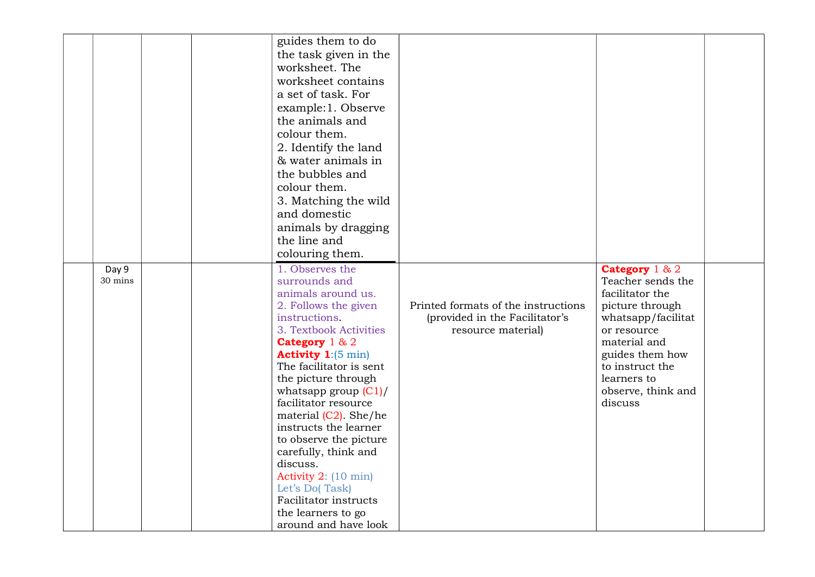| Day 9<br>30 mins | guides them to do<br>the task given in the<br>worksheet. The<br>worksheet contains<br>a set of task. For<br>example:1. Observe<br>the animals and<br>colour them.<br>2. Identify the land<br>& water animals in<br>the bubbles and<br>colour them.<br>3. Matching the wild<br>and domestic<br>animals by dragging<br>the line and<br>colouring them.<br>1. Observes the<br>surrounds and<br>animals around us.<br>2. Follows the given<br>instructions.<br>3. Textbook Activities<br>Category $1 & 2$<br><b>Activity 1:</b> $(5 \text{ min})$<br>The facilitator is sent<br>the picture through<br>whatsapp group $(C1)/$<br>facilitator resource | Printed formats of the instructions<br>(provided in the Facilitator's<br>resource material) | Category $1 & 2$<br>Teacher sends the<br>facilitator the<br>picture through<br>whatsapp/facilitat<br>or resource<br>material and<br>guides them how<br>to instruct the<br>learners to<br>observe, think and<br>discuss |  |
|------------------|---------------------------------------------------------------------------------------------------------------------------------------------------------------------------------------------------------------------------------------------------------------------------------------------------------------------------------------------------------------------------------------------------------------------------------------------------------------------------------------------------------------------------------------------------------------------------------------------------------------------------------------------------|---------------------------------------------------------------------------------------------|------------------------------------------------------------------------------------------------------------------------------------------------------------------------------------------------------------------------|--|
|                  | material $(C2)$ . She/he<br>instructs the learner<br>to observe the picture<br>carefully, think and<br>discuss.<br>Activity 2: (10 min)<br>Let's Do(Task)<br>Facilitator instructs<br>the learners to go<br>around and have look                                                                                                                                                                                                                                                                                                                                                                                                                  |                                                                                             |                                                                                                                                                                                                                        |  |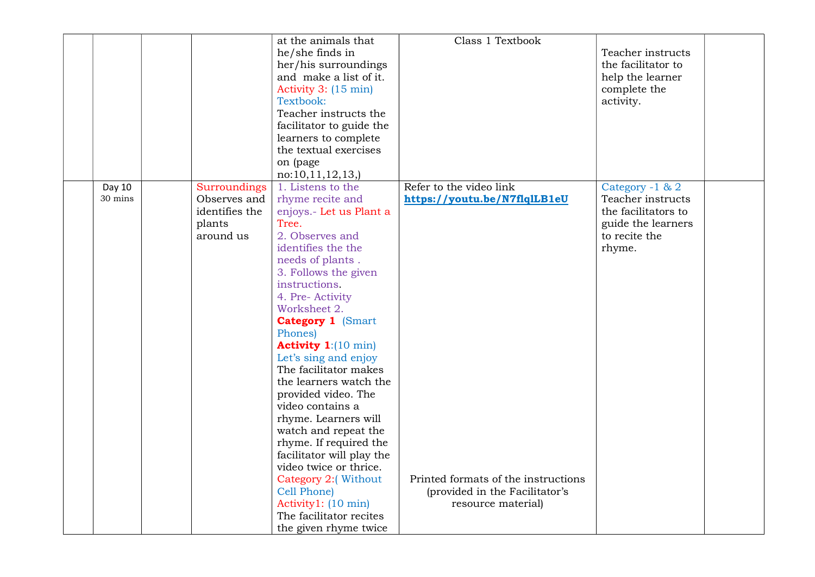|         |                | at the animals that           | Class 1 Textbook                    |                     |  |
|---------|----------------|-------------------------------|-------------------------------------|---------------------|--|
|         |                | he/she finds in               |                                     | Teacher instructs   |  |
|         |                | her/his surroundings          |                                     | the facilitator to  |  |
|         |                | and make a list of it.        |                                     | help the learner    |  |
|         |                | Activity 3: (15 min)          |                                     | complete the        |  |
|         |                | Textbook:                     |                                     | activity.           |  |
|         |                | Teacher instructs the         |                                     |                     |  |
|         |                | facilitator to guide the      |                                     |                     |  |
|         |                | learners to complete          |                                     |                     |  |
|         |                | the textual exercises         |                                     |                     |  |
|         |                | on (page                      |                                     |                     |  |
|         |                | no: 10, 11, 12, 13,           |                                     |                     |  |
| Day 10  | Surroundings   | 1. Listens to the             | Refer to the video link             | Category -1 & 2     |  |
| 30 mins | Observes and   | rhyme recite and              | https://youtu.be/N7flqlLB1eU        | Teacher instructs   |  |
|         | identifies the | enjoys.- Let us Plant a       |                                     | the facilitators to |  |
|         | plants         | Tree.                         |                                     | guide the learners  |  |
|         | around us      | 2. Observes and               |                                     | to recite the       |  |
|         |                | identifies the the            |                                     | rhyme.              |  |
|         |                | needs of plants.              |                                     |                     |  |
|         |                | 3. Follows the given          |                                     |                     |  |
|         |                | instructions.                 |                                     |                     |  |
|         |                | 4. Pre- Activity              |                                     |                     |  |
|         |                | Worksheet 2.                  |                                     |                     |  |
|         |                | <b>Category 1 (Smart</b>      |                                     |                     |  |
|         |                | Phones)                       |                                     |                     |  |
|         |                | Activity $1:(10 \text{ min})$ |                                     |                     |  |
|         |                | Let's sing and enjoy          |                                     |                     |  |
|         |                | The facilitator makes         |                                     |                     |  |
|         |                | the learners watch the        |                                     |                     |  |
|         |                | provided video. The           |                                     |                     |  |
|         |                | video contains a              |                                     |                     |  |
|         |                | rhyme. Learners will          |                                     |                     |  |
|         |                | watch and repeat the          |                                     |                     |  |
|         |                | rhyme. If required the        |                                     |                     |  |
|         |                | facilitator will play the     |                                     |                     |  |
|         |                | video twice or thrice.        | Printed formats of the instructions |                     |  |
|         |                | Category 2:(Without           |                                     |                     |  |
|         |                | Cell Phone)                   | (provided in the Facilitator's      |                     |  |
|         |                | Activity1: (10 min)           | resource material)                  |                     |  |
|         |                | The facilitator recites       |                                     |                     |  |
|         |                | the given rhyme twice         |                                     |                     |  |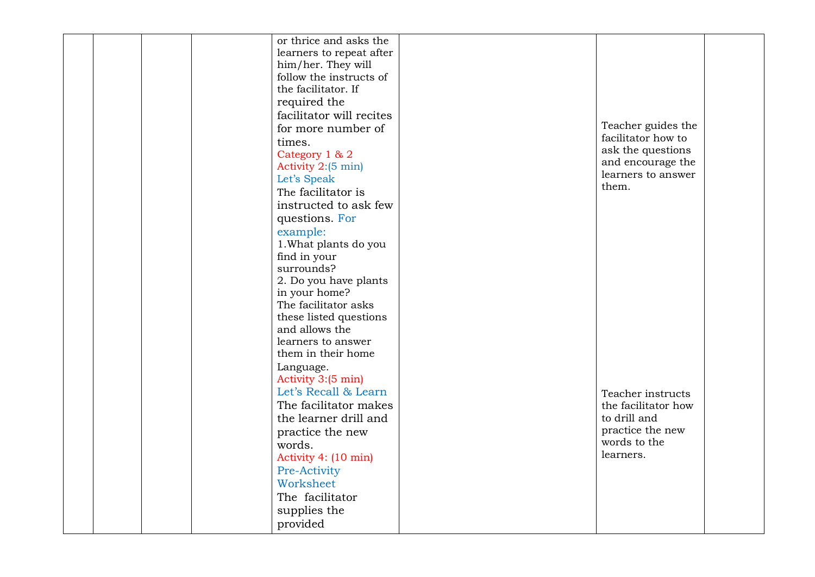|  |        | or thrice and asks the   |                             |  |
|--|--------|--------------------------|-----------------------------|--|
|  |        | learners to repeat after |                             |  |
|  |        | him/her. They will       |                             |  |
|  |        | follow the instructs of  |                             |  |
|  |        | the facilitator. If      |                             |  |
|  |        | required the             |                             |  |
|  |        | facilitator will recites |                             |  |
|  |        | for more number of       | Teacher guides the          |  |
|  | times. |                          | facilitator how to          |  |
|  |        | Category 1 & 2           | ask the questions           |  |
|  |        | Activity 2:(5 min)       | and encourage the           |  |
|  |        | Let's Speak              | learners to answer<br>them. |  |
|  |        | The facilitator is       |                             |  |
|  |        | instructed to ask few    |                             |  |
|  |        | questions. For           |                             |  |
|  |        | example:                 |                             |  |
|  |        | 1. What plants do you    |                             |  |
|  |        | find in your             |                             |  |
|  |        | surrounds?               |                             |  |
|  |        | 2. Do you have plants    |                             |  |
|  |        | in your home?            |                             |  |
|  |        | The facilitator asks     |                             |  |
|  |        | these listed questions   |                             |  |
|  |        | and allows the           |                             |  |
|  |        | learners to answer       |                             |  |
|  |        | them in their home       |                             |  |
|  |        | Language.                |                             |  |
|  |        | Activity 3:(5 min)       |                             |  |
|  |        | Let's Recall & Learn     | Teacher instructs           |  |
|  |        | The facilitator makes    | the facilitator how         |  |
|  |        | the learner drill and    | to drill and                |  |
|  |        | practice the new         | practice the new            |  |
|  | words. |                          | words to the                |  |
|  |        | Activity 4: (10 min)     | learners.                   |  |
|  |        | Pre-Activity             |                             |  |
|  |        | Worksheet                |                             |  |
|  |        | The facilitator          |                             |  |
|  |        | supplies the             |                             |  |
|  |        | provided                 |                             |  |
|  |        |                          |                             |  |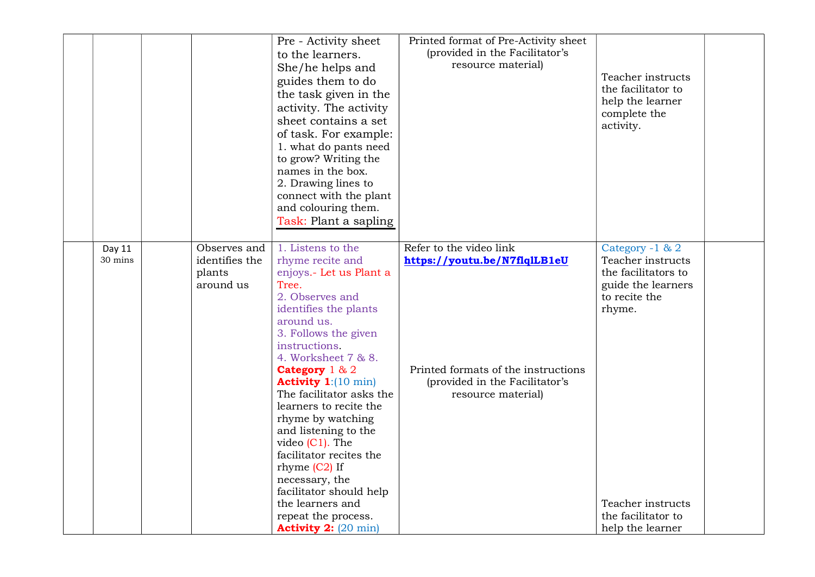| of task. For example:<br>1. what do pants need<br>to grow? Writing the<br>names in the box.<br>2. Drawing lines to<br>connect with the plant<br>and colouring them.<br>Task: Plant a sapling                                                                                                                                                                                                                                                                                                                                                                                                                                | activity.                                                                                                                                                                                                                                                                                                                             |  |
|-----------------------------------------------------------------------------------------------------------------------------------------------------------------------------------------------------------------------------------------------------------------------------------------------------------------------------------------------------------------------------------------------------------------------------------------------------------------------------------------------------------------------------------------------------------------------------------------------------------------------------|---------------------------------------------------------------------------------------------------------------------------------------------------------------------------------------------------------------------------------------------------------------------------------------------------------------------------------------|--|
| 1. Listens to the<br>Observes and<br>Day 11<br>30 mins<br>identifies the<br>rhyme recite and<br>plants<br>enjoys.- Let us Plant a<br>Tree.<br>around us<br>2. Observes and<br>identifies the plants<br>around us.<br>3. Follows the given<br>instructions.<br>4. Worksheet 7 & 8.<br>Category $1 & 2$<br><b>Activity 1:</b> (10 min)<br>The facilitator asks the<br>learners to recite the<br>rhyme by watching<br>and listening to the<br>video $(C1)$ . The<br>facilitator recites the<br>rhyme $(C2)$ If<br>necessary, the<br>facilitator should help<br>the learners and<br>repeat the process.<br>Activity 2: (20 min) | Refer to the video link<br>Category -1 & 2<br>https://youtu.be/N7flqlLB1eU<br>Teacher instructs<br>the facilitators to<br>guide the learners<br>to recite the<br>rhyme.<br>Printed formats of the instructions<br>(provided in the Facilitator's<br>resource material)<br>Teacher instructs<br>the facilitator to<br>help the learner |  |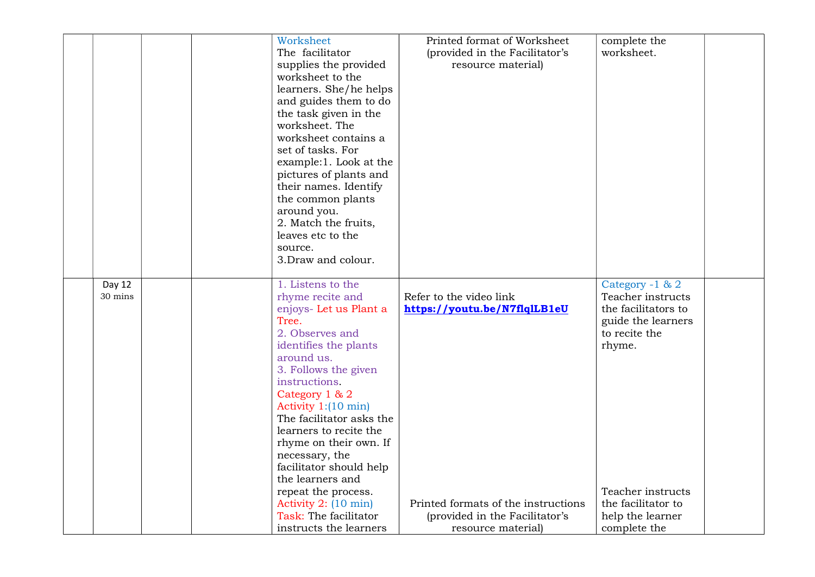|         |  | Worksheet                     | Printed format of Worksheet         | complete the        |
|---------|--|-------------------------------|-------------------------------------|---------------------|
|         |  | The facilitator               | (provided in the Facilitator's      | worksheet.          |
|         |  | supplies the provided         | resource material)                  |                     |
|         |  | worksheet to the              |                                     |                     |
|         |  | learners. She/he helps        |                                     |                     |
|         |  | and guides them to do         |                                     |                     |
|         |  | the task given in the         |                                     |                     |
|         |  | worksheet. The                |                                     |                     |
|         |  | worksheet contains a          |                                     |                     |
|         |  | set of tasks. For             |                                     |                     |
|         |  | example:1. Look at the        |                                     |                     |
|         |  | pictures of plants and        |                                     |                     |
|         |  | their names. Identify         |                                     |                     |
|         |  | the common plants             |                                     |                     |
|         |  | around you.                   |                                     |                     |
|         |  | 2. Match the fruits,          |                                     |                     |
|         |  | leaves etc to the             |                                     |                     |
|         |  | source.                       |                                     |                     |
|         |  | 3. Draw and colour.           |                                     |                     |
|         |  |                               |                                     |                     |
| Day 12  |  | 1. Listens to the             |                                     | Category -1 & 2     |
| 30 mins |  | rhyme recite and              | Refer to the video link             | Teacher instructs   |
|         |  | enjoys- Let us Plant a        | https://youtu.be/N7flqlLB1eU        | the facilitators to |
|         |  | Tree.                         |                                     | guide the learners  |
|         |  | 2. Observes and               |                                     | to recite the       |
|         |  | identifies the plants         |                                     | rhyme.              |
|         |  | around us.                    |                                     |                     |
|         |  | 3. Follows the given          |                                     |                     |
|         |  | instructions.                 |                                     |                     |
|         |  | Category 1 & 2                |                                     |                     |
|         |  | Activity $1:(10 \text{ min})$ |                                     |                     |
|         |  | The facilitator asks the      |                                     |                     |
|         |  | learners to recite the        |                                     |                     |
|         |  | rhyme on their own. If        |                                     |                     |
|         |  | necessary, the                |                                     |                     |
|         |  | facilitator should help       |                                     |                     |
|         |  | the learners and              |                                     |                     |
|         |  | repeat the process.           |                                     | Teacher instructs   |
|         |  | Activity 2: (10 min)          | Printed formats of the instructions | the facilitator to  |
|         |  | Task: The facilitator         | (provided in the Facilitator's      | help the learner    |
|         |  | instructs the learners        | resource material)                  | complete the        |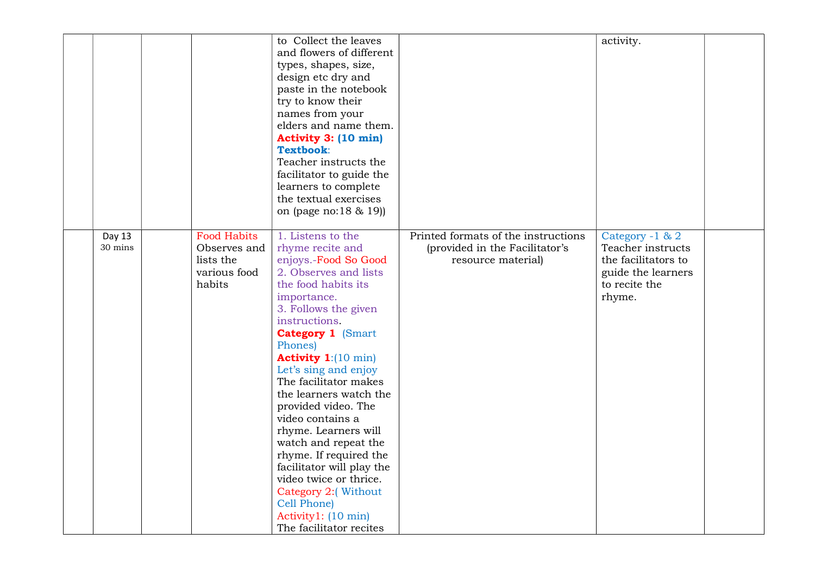|                   |                                                                           | to Collect the leaves<br>and flowers of different<br>types, shapes, size,<br>design etc dry and<br>paste in the notebook<br>try to know their<br>names from your<br>elders and name them.<br>Activity 3: (10 min)<br>Textbook:<br>Teacher instructs the<br>facilitator to guide the<br>learners to complete<br>the textual exercises<br>on (page no:18 & 19))                                                                                                                                                                                                                                |                                                                                             | activity.                                                                                                    |  |
|-------------------|---------------------------------------------------------------------------|----------------------------------------------------------------------------------------------------------------------------------------------------------------------------------------------------------------------------------------------------------------------------------------------------------------------------------------------------------------------------------------------------------------------------------------------------------------------------------------------------------------------------------------------------------------------------------------------|---------------------------------------------------------------------------------------------|--------------------------------------------------------------------------------------------------------------|--|
| Day 13<br>30 mins | <b>Food Habits</b><br>Observes and<br>lists the<br>various food<br>habits | 1. Listens to the<br>rhyme recite and<br>enjoys.-Food So Good<br>2. Observes and lists<br>the food habits its<br>importance.<br>3. Follows the given<br>instructions.<br><b>Category 1 (Smart</b><br>Phones)<br>Activity $1:(10 \text{ min})$<br>Let's sing and enjoy<br>The facilitator makes<br>the learners watch the<br>provided video. The<br>video contains a<br>rhyme. Learners will<br>watch and repeat the<br>rhyme. If required the<br>facilitator will play the<br>video twice or thrice.<br>Category 2:(Without<br>Cell Phone)<br>Activity1: (10 min)<br>The facilitator recites | Printed formats of the instructions<br>(provided in the Facilitator's<br>resource material) | Category -1 & 2<br>Teacher instructs<br>the facilitators to<br>guide the learners<br>to recite the<br>rhyme. |  |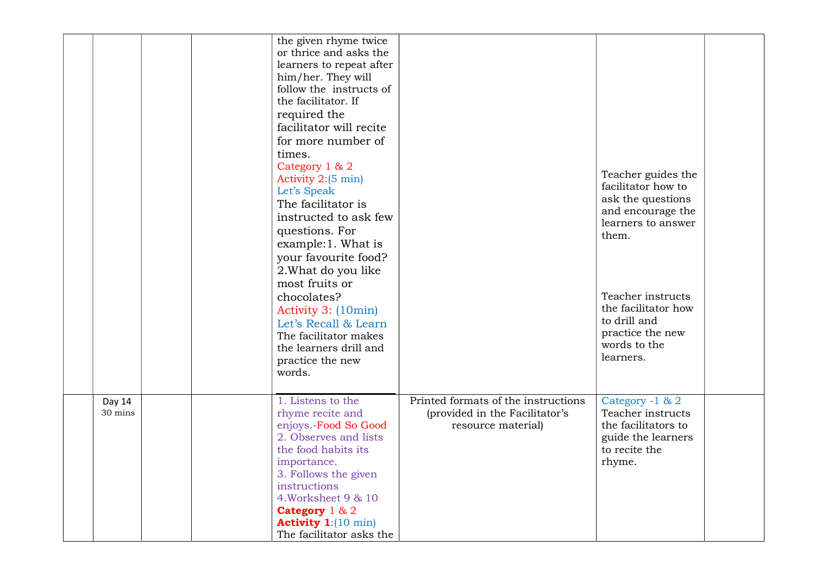|                   | the given rhyme twice<br>or thrice and asks the<br>learners to repeat after<br>him/her. They will<br>follow the instructs of<br>the facilitator. If<br>required the<br>facilitator will recite<br>for more number of<br>times.<br>Category 1 & 2<br>Activity 2:(5 min)<br>Let's Speak<br>The facilitator is<br>instructed to ask few<br>questions. For<br>example:1. What is<br>your favourite food?<br>2. What do you like<br>most fruits or<br>chocolates?<br>Activity 3: (10min)<br>Let's Recall & Learn<br>The facilitator makes<br>the learners drill and<br>practice the new<br>words. |                                                                                             | Teacher guides the<br>facilitator how to<br>ask the questions<br>and encourage the<br>learners to answer<br>them.<br>Teacher instructs<br>the facilitator how<br>to drill and<br>practice the new<br>words to the<br>learners. |  |
|-------------------|----------------------------------------------------------------------------------------------------------------------------------------------------------------------------------------------------------------------------------------------------------------------------------------------------------------------------------------------------------------------------------------------------------------------------------------------------------------------------------------------------------------------------------------------------------------------------------------------|---------------------------------------------------------------------------------------------|--------------------------------------------------------------------------------------------------------------------------------------------------------------------------------------------------------------------------------|--|
| Day 14<br>30 mins | 1. Listens to the<br>rhyme recite and<br>enjoys.-Food So Good<br>2. Observes and lists<br>the food habits its<br>importance.<br>3. Follows the given<br>instructions<br>4. Worksheet 9 & 10<br>Category $1 & 2$<br><b>Activity 1:</b> $(10 \text{ min})$<br>The facilitator asks the                                                                                                                                                                                                                                                                                                         | Printed formats of the instructions<br>(provided in the Facilitator's<br>resource material) | Category -1 & 2<br>Teacher instructs<br>the facilitators to<br>guide the learners<br>to recite the<br>rhyme.                                                                                                                   |  |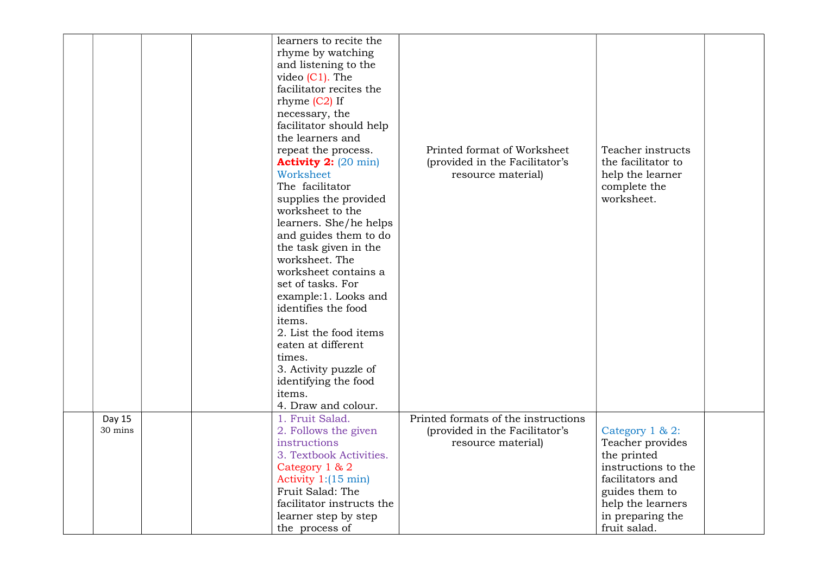|         | learners to recite the                |                                     |                     |  |
|---------|---------------------------------------|-------------------------------------|---------------------|--|
|         | rhyme by watching                     |                                     |                     |  |
|         | and listening to the                  |                                     |                     |  |
|         | video $(C1)$ . The                    |                                     |                     |  |
|         | facilitator recites the               |                                     |                     |  |
|         |                                       |                                     |                     |  |
|         | rhyme $(C2)$ If                       |                                     |                     |  |
|         | necessary, the                        |                                     |                     |  |
|         | facilitator should help               |                                     |                     |  |
|         | the learners and                      |                                     |                     |  |
|         | repeat the process.                   | Printed format of Worksheet         | Teacher instructs   |  |
|         | <b>Activity 2:</b> $(20 \text{ min})$ | (provided in the Facilitator's      | the facilitator to  |  |
|         | Worksheet                             | resource material)                  | help the learner    |  |
|         | The facilitator                       |                                     | complete the        |  |
|         | supplies the provided                 |                                     | worksheet.          |  |
|         | worksheet to the                      |                                     |                     |  |
|         | learners. She/he helps                |                                     |                     |  |
|         | and guides them to do                 |                                     |                     |  |
|         | the task given in the                 |                                     |                     |  |
|         | worksheet. The                        |                                     |                     |  |
|         | worksheet contains a                  |                                     |                     |  |
|         | set of tasks. For                     |                                     |                     |  |
|         | example:1. Looks and                  |                                     |                     |  |
|         | identifies the food                   |                                     |                     |  |
|         | items.                                |                                     |                     |  |
|         | 2. List the food items                |                                     |                     |  |
|         | eaten at different                    |                                     |                     |  |
|         | times.                                |                                     |                     |  |
|         | 3. Activity puzzle of                 |                                     |                     |  |
|         | identifying the food                  |                                     |                     |  |
|         | items.                                |                                     |                     |  |
|         | 4. Draw and colour.                   |                                     |                     |  |
| Day 15  | 1. Fruit Salad.                       | Printed formats of the instructions |                     |  |
| 30 mins | 2. Follows the given                  | (provided in the Facilitator's      | Category 1 & 2:     |  |
|         | instructions                          | resource material)                  | Teacher provides    |  |
|         | 3. Textbook Activities.               |                                     | the printed         |  |
|         | Category 1 & 2                        |                                     | instructions to the |  |
|         | Activity $1:(15 \text{ min})$         |                                     | facilitators and    |  |
|         | Fruit Salad: The                      |                                     | guides them to      |  |
|         | facilitator instructs the             |                                     | help the learners   |  |
|         | learner step by step                  |                                     | in preparing the    |  |
|         | the process of                        |                                     | fruit salad.        |  |